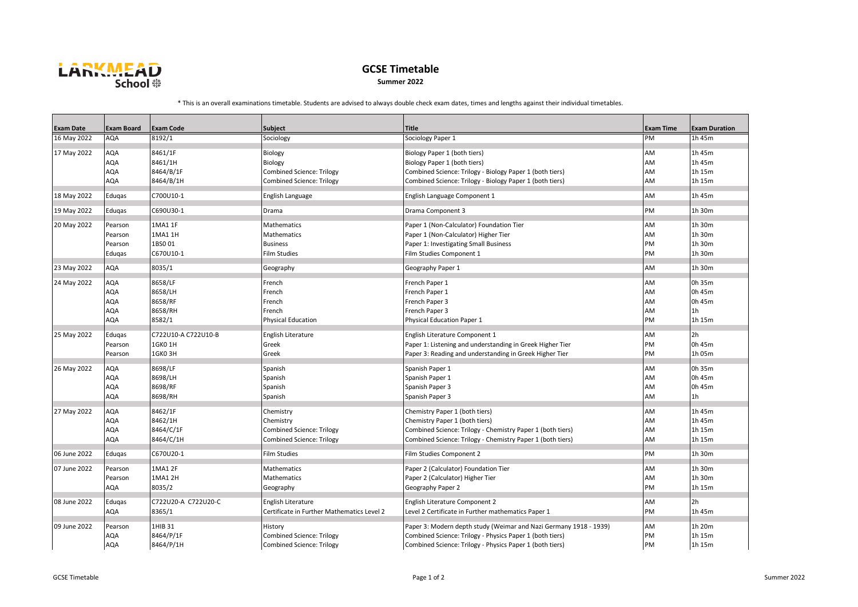

## **GCSE Timetable Summer 2022**

\* This is an overall examinations timetable. Students are advised to always double check exam dates, times and lengths against their individual timetables.

|                  |                   |                            |                                            | <b>Title</b>                                                      |                  | <b>Exam Duration</b> |
|------------------|-------------------|----------------------------|--------------------------------------------|-------------------------------------------------------------------|------------------|----------------------|
| <b>Exam Date</b> | <b>Exam Board</b> | <b>Exam Code</b><br>8192/1 | Subject                                    |                                                                   | <b>Exam Time</b> |                      |
| 16 May 2022      | AQA               |                            | Sociology                                  | Sociology Paper 1                                                 | PM               | 1h 45m               |
| 17 May 2022      | AQA               | 8461/1F                    | Biology                                    | Biology Paper 1 (both tiers)                                      | AM               | 1h 45m               |
|                  | <b>AQA</b>        | 8461/1H                    | Biology                                    | Biology Paper 1 (both tiers)                                      | AM               | 1h 45m               |
|                  | AQA               | 8464/B/1F                  | <b>Combined Science: Trilogy</b>           | Combined Science: Trilogy - Biology Paper 1 (both tiers)          | AM               | 1h 15m               |
|                  | AQA               | 8464/B/1H                  | <b>Combined Science: Trilogy</b>           | Combined Science: Trilogy - Biology Paper 1 (both tiers)          | AM               | 1h 15m               |
| 18 May 2022      | Edugas            | C700U10-1                  | English Language                           | English Language Component 1                                      | AM               | 1h 45m               |
| 19 May 2022      | Edugas            | C690U30-1                  | Drama                                      | Drama Component 3                                                 | PM               | 1h 30m               |
| 20 May 2022      | Pearson           | 1MA1 1F                    | Mathematics                                | Paper 1 (Non-Calculator) Foundation Tier                          | AM               | 1h 30m               |
|                  | Pearson           | 1MA1 1H                    | Mathematics                                | Paper 1 (Non-Calculator) Higher Tier                              | AM               | 1h 30m               |
|                  | Pearson           | 1BS001                     | <b>Business</b>                            | Paper 1: Investigating Small Business                             | PM               | 1h 30m               |
|                  | Eduqas            | C670U10-1                  | <b>Film Studies</b>                        | Film Studies Component 1                                          | PM               | 1h 30m               |
| 23 May 2022      | AQA               | 8035/1                     | Geography                                  | Geography Paper 1                                                 | AM               | 1h 30m               |
|                  |                   |                            |                                            |                                                                   |                  |                      |
| 24 May 2022      | AQA               | 8658/LF                    | French                                     | French Paper 1                                                    | AM               | 0h 35m               |
|                  | <b>AQA</b>        | 8658/LH                    | French                                     | French Paper 1                                                    | AM               | 0h 45m               |
|                  | AQA               | 8658/RF                    | French                                     | French Paper 3                                                    | AM               | 0h 45m               |
|                  | AQA               | 8658/RH                    | French                                     | French Paper 3                                                    | AM               | 1 <sub>h</sub>       |
|                  | <b>AQA</b>        | 8582/1                     | <b>Physical Education</b>                  | Physical Education Paper 1                                        | PM               | 1h 15m               |
| 25 May 2022      | Eduqas            | C722U10-A C722U10-B        | English Literature                         | English Literature Component 1                                    | AM               | 2h                   |
|                  | Pearson           | 1GK0 1H                    | Greek                                      | Paper 1: Listening and understanding in Greek Higher Tier         | PM               | 0h 45m               |
|                  | Pearson           | 1GK03H                     | Greek                                      | Paper 3: Reading and understanding in Greek Higher Tier           | PM               | 1h 05m               |
| 26 May 2022      | AQA               | 8698/LF                    | Spanish                                    | Spanish Paper 1                                                   | AM               | 0h 35m               |
|                  | AQA               | 8698/LH                    | Spanish                                    | Spanish Paper 1                                                   | AM               | 0h 45m               |
|                  | AQA               | 8698/RF                    | Spanish                                    | Spanish Paper 3                                                   | AM               | 0h 45m               |
|                  | AQA               | 8698/RH                    | Spanish                                    | Spanish Paper 3                                                   | AM               | 1 <sub>h</sub>       |
| 27 May 2022      | AQA               | 8462/1F                    | Chemistry                                  | Chemistry Paper 1 (both tiers)                                    | AM               | 1h 45m               |
|                  | AQA               | 8462/1H                    | Chemistry                                  | Chemistry Paper 1 (both tiers)                                    | AM               | 1h 45m               |
|                  | <b>AQA</b>        | 8464/C/1F                  | Combined Science: Trilogy                  | Combined Science: Trilogy - Chemistry Paper 1 (both tiers)        | AM               | 1h 15m               |
|                  | AQA               | 8464/C/1H                  | <b>Combined Science: Trilogy</b>           | Combined Science: Trilogy - Chemistry Paper 1 (both tiers)        | AM               | 1h 15m               |
| 06 June 2022     | Edugas            | C670U20-1                  | <b>Film Studies</b>                        | Film Studies Component 2                                          | PM               | 1h 30m               |
| 07 June 2022     | Pearson           | 1MA1 2F                    | Mathematics                                | Paper 2 (Calculator) Foundation Tier                              | AM               | 1h 30m               |
|                  | Pearson           | 1MA1 2H                    | Mathematics                                | Paper 2 (Calculator) Higher Tier                                  | AM               | 1h 30m               |
|                  | AQA               | 8035/2                     | Geography                                  | Geography Paper 2                                                 | PM               | 1h 15m               |
|                  |                   |                            |                                            |                                                                   |                  |                      |
| 08 June 2022     | Eduqas            | C722U20-A C722U20-C        | English Literature                         | English Literature Component 2                                    | AM               | 2h                   |
|                  | <b>AQA</b>        | 8365/1                     | Certificate in Further Mathematics Level 2 | Level 2 Certificate in Further mathematics Paper 1                | PM               | 1h 45m               |
| 09 June 2022     | Pearson           | 1HIB 31                    | History                                    | Paper 3: Modern depth study (Weimar and Nazi Germany 1918 - 1939) | AM               | 1h 20m               |
|                  | AQA               | 8464/P/1F                  | <b>Combined Science: Trilogy</b>           | Combined Science: Trilogy - Physics Paper 1 (both tiers)          | PM               | 1h 15m               |
|                  | <b>AQA</b>        | 8464/P/1H                  | <b>Combined Science: Trilogy</b>           | Combined Science: Trilogy - Physics Paper 1 (both tiers)          | PM               | 1h 15m               |